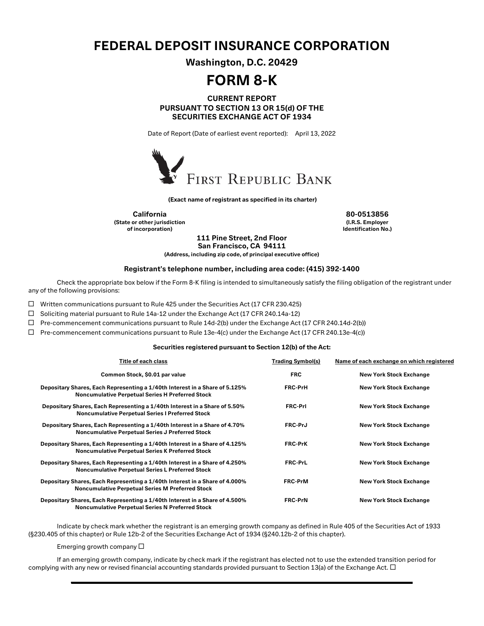## FEDERAL DEPOSIT INSURANCE CORPORATION

Washington, D.C. 20429

# FORM 8-K

### CURRENT REPORT PURSUANT TO SECTION 13 OR 15(d) OF THE SECURITIES EXCHANGE ACT OF 1934

Date of Report (Date of earliest event reported): April 13, 2022



(Exact name of registrant as specified in its charter)

California 80-0513856 (State or other jurisdiction of incorporation)

(I.R.S. Employer Identification No.)

111 Pine Street, 2nd Floor San Francisco, CA 94111

(Address, including zip code, of principal executive office)

#### Registrant's telephone number, including area code: (415) 392-1400

Check the appropriate box below if the Form 8-K filing is intended to simultaneously satisfy the filing obligation of the registrant under any of the following provisions:

 $\Box$  Written communications pursuant to Rule 425 under the Securities Act (17 CFR 230.425)

□ Soliciting material pursuant to Rule 14a-12 under the Exchange Act (17 CFR 240.14a-12)

 $\Box$  Pre-commencement communications pursuant to Rule 14d-2(b) under the Exchange Act (17 CFR 240.14d-2(b))

 $\Box$  Pre-commencement communications pursuant to Rule 13e-4(c) under the Exchange Act (17 CFR 240.13e-4(c))

#### Securities registered pursuant to Section 12(b) of the Act:

| Title of each class                                                                                                                    | <b>Trading Symbol(s)</b> | Name of each exchange on which registered |
|----------------------------------------------------------------------------------------------------------------------------------------|--------------------------|-------------------------------------------|
| Common Stock, \$0.01 par value                                                                                                         | <b>FRC</b>               | <b>New York Stock Exchange</b>            |
| Depositary Shares, Each Representing a 1/40th Interest in a Share of 5.125%<br><b>Noncumulative Perpetual Series H Preferred Stock</b> | <b>FRC-PrH</b>           | <b>New York Stock Exchange</b>            |
| Depositary Shares, Each Representing a 1/40th Interest in a Share of 5.50%<br><b>Noncumulative Perpetual Series I Preferred Stock</b>  | <b>FRC-Prl</b>           | <b>New York Stock Exchange</b>            |
| Depositary Shares, Each Representing a 1/40th Interest in a Share of 4.70%<br><b>Noncumulative Perpetual Series J Preferred Stock</b>  | FRC-PrJ                  | <b>New York Stock Exchange</b>            |
| Depositary Shares, Each Representing a 1/40th Interest in a Share of 4.125%<br><b>Noncumulative Perpetual Series K Preferred Stock</b> | <b>FRC-PrK</b>           | <b>New York Stock Exchange</b>            |
| Depositary Shares, Each Representing a 1/40th Interest in a Share of 4.250%<br><b>Noncumulative Perpetual Series L Preferred Stock</b> | <b>FRC-PrL</b>           | <b>New York Stock Exchange</b>            |
| Depositary Shares, Each Representing a 1/40th Interest in a Share of 4.000%<br><b>Noncumulative Perpetual Series M Preferred Stock</b> | <b>FRC-PrM</b>           | <b>New York Stock Exchange</b>            |
| Depositary Shares, Each Representing a 1/40th Interest in a Share of 4.500%<br><b>Noncumulative Perpetual Series N Preferred Stock</b> | <b>FRC-PrN</b>           | <b>New York Stock Exchange</b>            |

Indicate by check mark whether the registrant is an emerging growth company as defined in Rule 405 of the Securities Act of 1933 (§230.405 of this chapter) or Rule 12b-2 of the Securities Exchange Act of 1934 (§240.12b-2 of this chapter).

Emerging growth company  $\square$ 

If an emerging growth company, indicate by check mark if the registrant has elected not to use the extended transition period for complying with any new or revised financial accounting standards provided pursuant to Section 13(a) of the Exchange Act.  $\Box$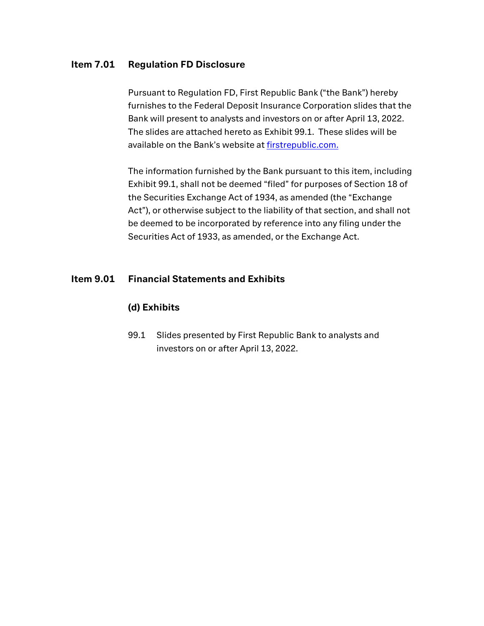## Item 7.01 Regulation FD Disclosure

Pursuant to Regulation FD, First Republic Bank ("the Bank") hereby furnishes to the Federal Deposit Insurance Corporation slides that the Bank will present to analysts and investors on or after April 13, 2022. The slides are attached hereto as Exhibit 99.1. These slides will be available on the Bank's website a[t firstrepublic.com.](http://www.firstrepublic.com/)

The information furnished by the Bank pursuant to this item, including Exhibit 99.1, shall not be deemed "filed" for purposes of Section 18 of the Securities Exchange Act of 1934, as amended (the "Exchange Act"), or otherwise subject to the liability of that section, and shall not be deemed to be incorporated by reference into any filing under the Securities Act of 1933, as amended, or the Exchange Act.

## Item 9.01 Financial Statements and Exhibits

## (d) Exhibits

99.1 Slides presented by First Republic Bank to analysts and investors on or after April 13, 2022.